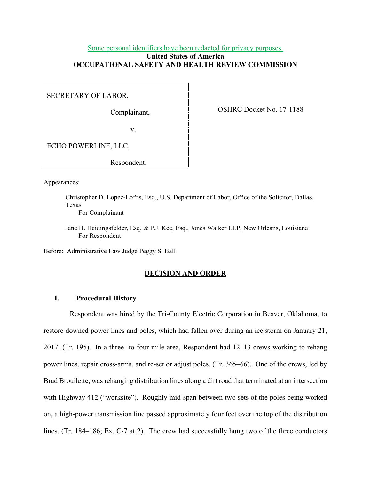# Some personal identifiers have been redacted for privacy purposes. **United States of America OCCUPATIONAL SAFETY AND HEALTH REVIEW COMMISSION**

SECRETARY OF LABOR,

Complainant,

OSHRC Docket No. 17-1188

v.

ECHO POWERLINE, LLC,

Respondent.

Appearances:

Christopher D. Lopez-Loftis, Esq., U.S. Department of Labor, Office of the Solicitor, Dallas, Texas

For Complainant

Jane H. Heidingsfelder, Esq. & P.J. Kee, Esq., Jones Walker LLP, New Orleans, Louisiana For Respondent

Before: Administrative Law Judge Peggy S. Ball

## **DECISION AND ORDER**

## **I. Procedural History**

Respondent was hired by the Tri-County Electric Corporation in Beaver, Oklahoma, to restore downed power lines and poles, which had fallen over during an ice storm on January 21, 2017. (Tr. 195). In a three- to four-mile area, Respondent had 12–13 crews working to rehang power lines, repair cross-arms, and re-set or adjust poles. (Tr. 365–66). One of the crews, led by Brad Brouilette, was rehanging distribution lines along a dirt road that terminated at an intersection with Highway 412 ("worksite"). Roughly mid-span between two sets of the poles being worked on, a high-power transmission line passed approximately four feet over the top of the distribution lines. (Tr. 184–186; Ex. C-7 at 2). The crew had successfully hung two of the three conductors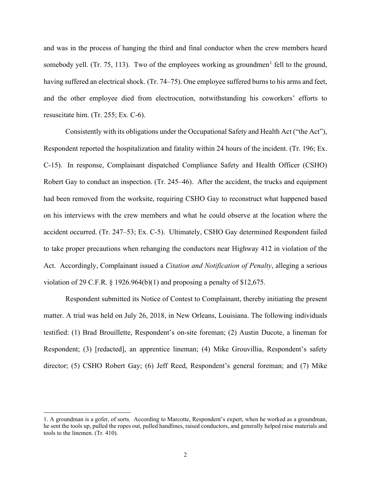and was in the process of hanging the third and final conductor when the crew members heard somebody yell. (Tr. 75, [1](#page-1-0)13). Two of the employees working as groundmen<sup>1</sup> fell to the ground, having suffered an electrical shock. (Tr. 74–75). One employee suffered burns to his arms and feet, and the other employee died from electrocution, notwithstanding his coworkers' efforts to resuscitate him. (Tr. 255; Ex. C-6).

Consistently with its obligations under the Occupational Safety and Health Act ("the Act"), Respondent reported the hospitalization and fatality within 24 hours of the incident. (Tr. 196; Ex. C-15). In response, Complainant dispatched Compliance Safety and Health Officer (CSHO) Robert Gay to conduct an inspection. (Tr. 245–46). After the accident, the trucks and equipment had been removed from the worksite, requiring CSHO Gay to reconstruct what happened based on his interviews with the crew members and what he could observe at the location where the accident occurred. (Tr. 247–53; Ex. C-5). Ultimately, CSHO Gay determined Respondent failed to take proper precautions when rehanging the conductors near Highway 412 in violation of the Act. Accordingly, Complainant issued a *Citation and Notification of Penalty*, alleging a serious violation of 29 C.F.R.  $\S$  1926.964(b)(1) and proposing a penalty of  $$12,675$ .

Respondent submitted its Notice of Contest to Complainant, thereby initiating the present matter. A trial was held on July 26, 2018, in New Orleans, Louisiana. The following individuals testified: (1) Brad Brouillette, Respondent's on-site foreman; (2) Austin Ducote, a lineman for Respondent; (3) [redacted], an apprentice lineman; (4) Mike Grouvillia, Respondent's safety director; (5) CSHO Robert Gay; (6) Jeff Reed, Respondent's general foreman; and (7) Mike

<span id="page-1-0"></span><sup>1.</sup> A groundman is a gofer, of sorts. According to Marcotte, Respondent's expert, when he worked as a groundman, he sent the tools up, pulled the ropes out, pulled handlines, raised conductors, and generally helped raise materials and tools to the linemen. (Tr. 410).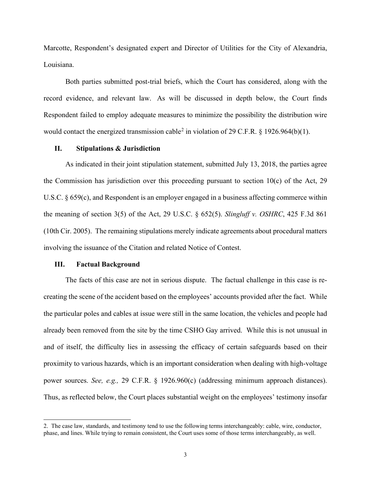Marcotte, Respondent's designated expert and Director of Utilities for the City of Alexandria, Louisiana.

Both parties submitted post-trial briefs, which the Court has considered, along with the record evidence, and relevant law. As will be discussed in depth below, the Court finds Respondent failed to employ adequate measures to minimize the possibility the distribution wire would contact the energized transmission cable<sup>[2](#page-2-0)</sup> in violation of 29 C.F.R. § 1926.964(b)(1).

## **II. Stipulations & Jurisdiction**

As indicated in their joint stipulation statement, submitted July 13, 2018, the parties agree the Commission has jurisdiction over this proceeding pursuant to section 10(c) of the Act, 29 U.S.C. § 659(c), and Respondent is an employer engaged in a business affecting commerce within the meaning of section 3(5) of the Act, 29 U.S.C. § 652(5). *Slingluff v. OSHRC*, 425 F.3d 861 (10th Cir. 2005). The remaining stipulations merely indicate agreements about procedural matters involving the issuance of the Citation and related Notice of Contest.

#### **III. Factual Background**

The facts of this case are not in serious dispute. The factual challenge in this case is recreating the scene of the accident based on the employees' accounts provided after the fact. While the particular poles and cables at issue were still in the same location, the vehicles and people had already been removed from the site by the time CSHO Gay arrived. While this is not unusual in and of itself, the difficulty lies in assessing the efficacy of certain safeguards based on their proximity to various hazards, which is an important consideration when dealing with high-voltage power sources. *See, e.g.,* 29 C.F.R. § 1926.960(c) (addressing minimum approach distances). Thus, as reflected below, the Court places substantial weight on the employees' testimony insofar

<span id="page-2-0"></span><sup>2.</sup> The case law, standards, and testimony tend to use the following terms interchangeably: cable, wire, conductor, phase, and lines. While trying to remain consistent, the Court uses some of those terms interchangeably, as well.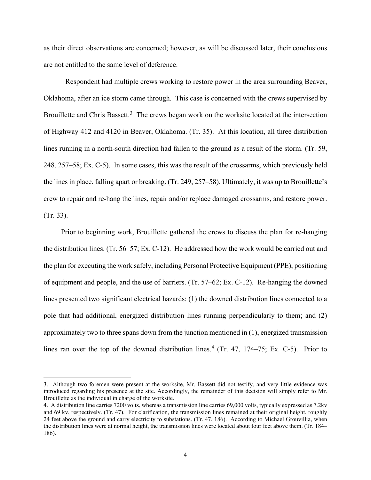as their direct observations are concerned; however, as will be discussed later, their conclusions are not entitled to the same level of deference.

Respondent had multiple crews working to restore power in the area surrounding Beaver, Oklahoma, after an ice storm came through. This case is concerned with the crews supervised by Brouillette and Chris Bassett.<sup>[3](#page-3-0)</sup> The crews began work on the worksite located at the intersection of Highway 412 and 4120 in Beaver, Oklahoma. (Tr. 35). At this location, all three distribution lines running in a north-south direction had fallen to the ground as a result of the storm. (Tr. 59, 248, 257–58; Ex. C-5). In some cases, this was the result of the crossarms, which previously held the lines in place, falling apart or breaking. (Tr. 249, 257–58). Ultimately, it was up to Brouillette's crew to repair and re-hang the lines, repair and/or replace damaged crossarms, and restore power. (Tr. 33).

 Prior to beginning work, Brouillette gathered the crews to discuss the plan for re-hanging the distribution lines. (Tr. 56–57; Ex. C-12). He addressed how the work would be carried out and the plan for executing the work safely, including Personal Protective Equipment (PPE), positioning of equipment and people, and the use of barriers. (Tr. 57–62; Ex. C-12). Re-hanging the downed lines presented two significant electrical hazards: (1) the downed distribution lines connected to a pole that had additional, energized distribution lines running perpendicularly to them; and (2) approximately two to three spans down from the junction mentioned in (1), energized transmission lines ran over the top of the downed distribution lines.<sup>[4](#page-3-1)</sup> (Tr. 47, 174–75; Ex. C-5). Prior to

<span id="page-3-0"></span><sup>3.</sup> Although two foremen were present at the worksite, Mr. Bassett did not testify, and very little evidence was introduced regarding his presence at the site. Accordingly, the remainder of this decision will simply refer to Mr. Brouillette as the individual in charge of the worksite.

<span id="page-3-1"></span><sup>4.</sup> A distribution line carries 7200 volts, whereas a transmission line carries 69,000 volts, typically expressed as 7.2kv and 69 kv, respectively. (Tr. 47). For clarification, the transmission lines remained at their original height, roughly 24 feet above the ground and carry electricity to substations. (Tr. 47, 186). According to Michael Grouvillia, when the distribution lines were at normal height, the transmission lines were located about four feet above them. (Tr. 184– 186).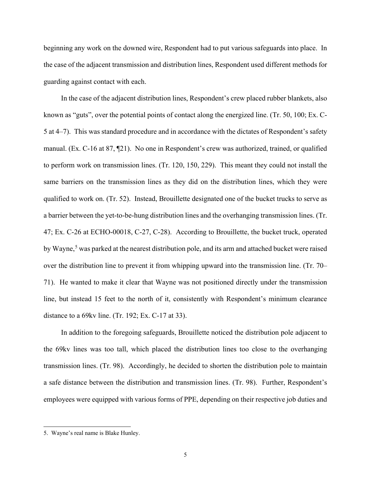beginning any work on the downed wire, Respondent had to put various safeguards into place. In the case of the adjacent transmission and distribution lines, Respondent used different methods for guarding against contact with each.

 In the case of the adjacent distribution lines, Respondent's crew placed rubber blankets, also known as "guts", over the potential points of contact along the energized line. (Tr. 50, 100; Ex. C-5 at 4–7). This was standard procedure and in accordance with the dictates of Respondent's safety manual. (Ex. C-16 at 87, ¶21). No one in Respondent's crew was authorized, trained, or qualified to perform work on transmission lines. (Tr. 120, 150, 229). This meant they could not install the same barriers on the transmission lines as they did on the distribution lines, which they were qualified to work on. (Tr. 52). Instead, Brouillette designated one of the bucket trucks to serve as a barrier between the yet-to-be-hung distribution lines and the overhanging transmission lines. (Tr. 47; Ex. C-26 at ECHO-00018, C-27, C-28). According to Brouillette, the bucket truck, operated by Wayne,<sup>[5](#page-4-0)</sup> was parked at the nearest distribution pole, and its arm and attached bucket were raised over the distribution line to prevent it from whipping upward into the transmission line. (Tr. 70– 71). He wanted to make it clear that Wayne was not positioned directly under the transmission line, but instead 15 feet to the north of it, consistently with Respondent's minimum clearance distance to a 69kv line. (Tr. 192; Ex. C-17 at 33).

 In addition to the foregoing safeguards, Brouillette noticed the distribution pole adjacent to the 69kv lines was too tall, which placed the distribution lines too close to the overhanging transmission lines. (Tr. 98). Accordingly, he decided to shorten the distribution pole to maintain a safe distance between the distribution and transmission lines. (Tr. 98). Further, Respondent's employees were equipped with various forms of PPE, depending on their respective job duties and

<span id="page-4-0"></span><sup>5.</sup> Wayne's real name is Blake Hunley.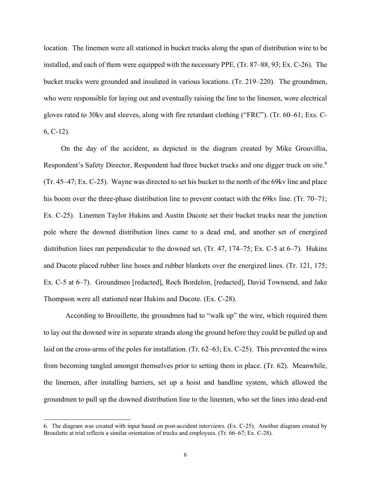location. The linemen were all stationed in bucket trucks along the span of distribution wire to be installed, and each of them were equipped with the necessary PPE. (Tr. 87–88, 93; Ex. C-26). The bucket trucks were grounded and insulated in various locations. (Tr. 219–220). The groundmen, who were responsible for laying out and eventually raising the line to the linemen, wore electrical gloves rated to 30kv and sleeves, along with fire retardant clothing ("FRC"). (Tr. 60–61; Exs. C-6, C-12).

 On the day of the accident, as depicted in the diagram created by Mike Grouvillia, Respondent's Safety Director, Respondent had three bucket trucks and one digger truck on site.<sup>[6](#page-5-0)</sup> (Tr. 45–47; Ex. C-25). Wayne was directed to set his bucket to the north of the 69kv line and place his boom over the three-phase distribution line to prevent contact with the 69kv line. (Tr. 70–71; Ex. C-25). Linemen Taylor Hukins and Austin Ducote set their bucket trucks near the junction pole where the downed distribution lines came to a dead end, and another set of energized distribution lines ran perpendicular to the downed set. (Tr. 47, 174–75; Ex. C-5 at 6–7). Hukins and Ducote placed rubber line hoses and rubber blankets over the energized lines. (Tr. 121, 175; Ex. C-5 at 6–7). Groundmen [redacted], Roch Bordelon, [redacted], David Townsend, and Jake Thompson were all stationed near Hukins and Ducote. (Ex. C-28).

According to Brouillette, the groundmen had to "walk up" the wire, which required them to lay out the downed wire in separate strands along the ground before they could be pulled up and laid on the cross-arms of the poles for installation. (Tr. 62–63; Ex. C-25). This prevented the wires from becoming tangled amongst themselves prior to setting them in place. (Tr. 62). Meanwhile, the linemen, after installing barriers, set up a hoist and handline system, which allowed the groundmen to pull up the downed distribution line to the linemen, who set the lines into dead-end

<span id="page-5-0"></span><sup>6.</sup> The diagram was created with input based on post-accident interviews. (Ex. C-25). Another diagram created by Brouilette at trial reflects a similar orientation of trucks and employees. (Tr. 66–67; Ex. C-28).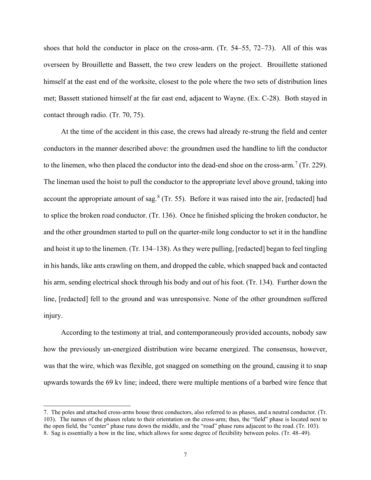shoes that hold the conductor in place on the cross-arm. (Tr. 54–55, 72–73). All of this was overseen by Brouillette and Bassett, the two crew leaders on the project. Brouillette stationed himself at the east end of the worksite, closest to the pole where the two sets of distribution lines met; Bassett stationed himself at the far east end, adjacent to Wayne. (Ex. C-28). Both stayed in contact through radio. (Tr. 70, 75).

 At the time of the accident in this case, the crews had already re-strung the field and center conductors in the manner described above: the groundmen used the handline to lift the conductor to the linemen, who then placed the conductor into the dead-end shoe on the cross-arm.<sup>[7](#page-6-0)</sup> (Tr. 229). The lineman used the hoist to pull the conductor to the appropriate level above ground, taking into account the appropriate amount of sag.<sup>[8](#page-6-1)</sup> (Tr. 55). Before it was raised into the air, [redacted] had to splice the broken road conductor. (Tr. 136). Once he finished splicing the broken conductor, he and the other groundmen started to pull on the quarter-mile long conductor to set it in the handline and hoist it up to the linemen. (Tr. 134–138). As they were pulling, [redacted] began to feel tingling in his hands, like ants crawling on them, and dropped the cable, which snapped back and contacted his arm, sending electrical shock through his body and out of his foot. (Tr. 134). Further down the line, [redacted] fell to the ground and was unresponsive. None of the other groundmen suffered injury.

 According to the testimony at trial, and contemporaneously provided accounts, nobody saw how the previously un-energized distribution wire became energized. The consensus, however, was that the wire, which was flexible, got snagged on something on the ground, causing it to snap upwards towards the 69 kv line; indeed, there were multiple mentions of a barbed wire fence that

<span id="page-6-1"></span><span id="page-6-0"></span><sup>7.</sup> The poles and attached cross-arms house three conductors, also referred to as phases, and a neutral conductor. (Tr. 103). The names of the phases relate to their orientation on the cross-arm; thus, the "field" phase is located next to the open field, the "center" phase runs down the middle, and the "road" phase runs adjacent to the road. (Tr. 103). 8. Sag is essentially a bow in the line, which allows for some degree of flexibility between poles. (Tr. 48–49).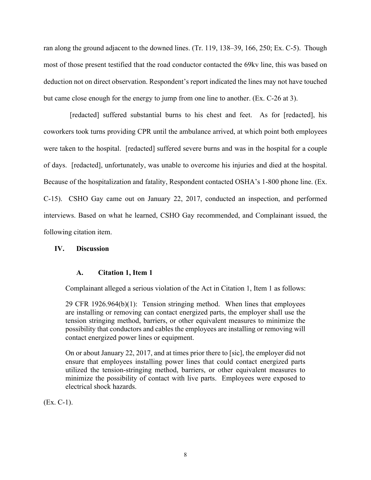ran along the ground adjacent to the downed lines. (Tr. 119, 138–39, 166, 250; Ex. C-5). Though most of those present testified that the road conductor contacted the 69kv line, this was based on deduction not on direct observation. Respondent's report indicated the lines may not have touched but came close enough for the energy to jump from one line to another. (Ex. C-26 at 3).

[redacted] suffered substantial burns to his chest and feet. As for [redacted], his coworkers took turns providing CPR until the ambulance arrived, at which point both employees were taken to the hospital. [redacted] suffered severe burns and was in the hospital for a couple of days. [redacted], unfortunately, was unable to overcome his injuries and died at the hospital. Because of the hospitalization and fatality, Respondent contacted OSHA's 1-800 phone line. (Ex. C-15). CSHO Gay came out on January 22, 2017, conducted an inspection, and performed interviews. Based on what he learned, CSHO Gay recommended, and Complainant issued, the following citation item.

## **IV. Discussion**

## **A. Citation 1, Item 1**

Complainant alleged a serious violation of the Act in Citation 1, Item 1 as follows:

29 CFR 1926.964(b)(1): Tension stringing method. When lines that employees are installing or removing can contact energized parts, the employer shall use the tension stringing method, barriers, or other equivalent measures to minimize the possibility that conductors and cables the employees are installing or removing will contact energized power lines or equipment.

On or about January 22, 2017, and at times prior there to [sic], the employer did not ensure that employees installing power lines that could contact energized parts utilized the tension-stringing method, barriers, or other equivalent measures to minimize the possibility of contact with live parts. Employees were exposed to electrical shock hazards.

(Ex. C-1).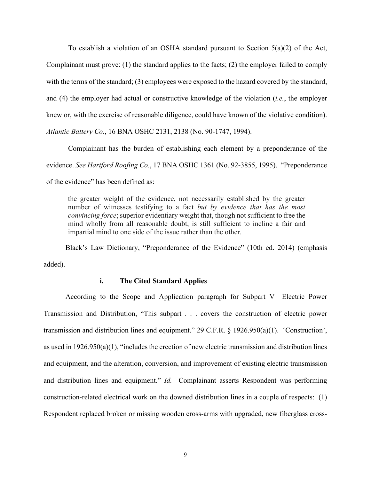To establish a violation of an OSHA standard pursuant to Section 5(a)(2) of the Act, Complainant must prove: (1) the standard applies to the facts; (2) the employer failed to comply with the terms of the standard; (3) employees were exposed to the hazard covered by the standard, and (4) the employer had actual or constructive knowledge of the violation (*i.e.*, the employer knew or, with the exercise of reasonable diligence, could have known of the violative condition).

*Atlantic Battery Co.*, 16 BNA OSHC 2131, 2138 (No. 90-1747, 1994).

Complainant has the burden of establishing each element by a preponderance of the evidence. *See Hartford Roofing Co.*, 17 BNA OSHC 1361 (No. 92-3855, 1995). "Preponderance of the evidence" has been defined as:

the greater weight of the evidence, not necessarily established by the greater number of witnesses testifying to a fact *but by evidence that has the most convincing force*; superior evidentiary weight that, though not sufficient to free the mind wholly from all reasonable doubt, is still sufficient to incline a fair and impartial mind to one side of the issue rather than the other.

Black's Law Dictionary, "Preponderance of the Evidence" (10th ed. 2014) (emphasis added).

# **i. The Cited Standard Applies**

According to the Scope and Application paragraph for Subpart V—Electric Power Transmission and Distribution, "This subpart . . . covers the construction of electric power transmission and distribution lines and equipment." 29 C.F.R. § 1926.950(a)(1). 'Construction', as used in 1926.950(a)(1), "includes the erection of new electric transmission and distribution lines and equipment, and the alteration, conversion, and improvement of existing electric transmission and distribution lines and equipment." *Id.* Complainant asserts Respondent was performing construction-related electrical work on the downed distribution lines in a couple of respects: (1) Respondent replaced broken or missing wooden cross-arms with upgraded, new fiberglass cross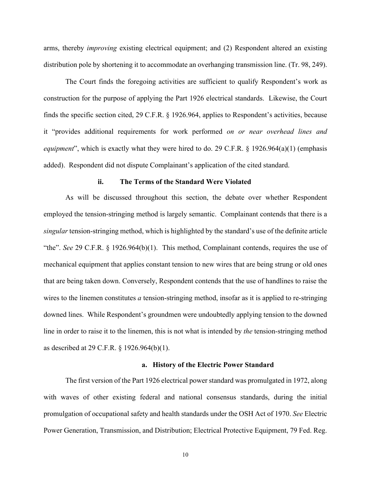arms, thereby *improving* existing electrical equipment; and (2) Respondent altered an existing distribution pole by shortening it to accommodate an overhanging transmission line. (Tr. 98, 249).

The Court finds the foregoing activities are sufficient to qualify Respondent's work as construction for the purpose of applying the Part 1926 electrical standards. Likewise, the Court finds the specific section cited, 29 C.F.R. § 1926.964, applies to Respondent's activities, because it "provides additional requirements for work performed *on or near overhead lines and equipment*", which is exactly what they were hired to do. 29 C.F.R. § 1926.964(a)(1) (emphasis added). Respondent did not dispute Complainant's application of the cited standard.

#### **ii. The Terms of the Standard Were Violated**

As will be discussed throughout this section, the debate over whether Respondent employed the tension-stringing method is largely semantic. Complainant contends that there is a *singular* tension-stringing method, which is highlighted by the standard's use of the definite article "the". *See* 29 C.F.R. § 1926.964(b)(1). This method, Complainant contends, requires the use of mechanical equipment that applies constant tension to new wires that are being strung or old ones that are being taken down. Conversely, Respondent contends that the use of handlines to raise the wires to the linemen constitutes *a* tension-stringing method, insofar as it is applied to re-stringing downed lines. While Respondent's groundmen were undoubtedly applying tension to the downed line in order to raise it to the linemen, this is not what is intended by *the* tension-stringing method as described at 29 C.F.R. § 1926.964(b)(1).

### **a. History of the Electric Power Standard**

The first version of the Part 1926 electrical power standard was promulgated in 1972, along with waves of other existing federal and national consensus standards, during the initial promulgation of occupational safety and health standards under the OSH Act of 1970. *See* Electric Power Generation, Transmission, and Distribution; Electrical Protective Equipment, 79 Fed. Reg.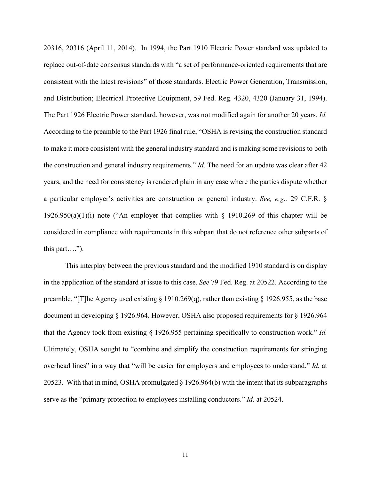20316, 20316 (April 11, 2014). In 1994, the Part 1910 Electric Power standard was updated to replace out-of-date consensus standards with "a set of performance-oriented requirements that are consistent with the latest revisions" of those standards. Electric Power Generation, Transmission, and Distribution; Electrical Protective Equipment, 59 Fed. Reg. 4320, 4320 (January 31, 1994). The Part 1926 Electric Power standard, however, was not modified again for another 20 years. *Id.* According to the preamble to the Part 1926 final rule, "OSHA is revising the construction standard to make it more consistent with the general industry standard and is making some revisions to both the construction and general industry requirements." *Id.* The need for an update was clear after 42 years, and the need for consistency is rendered plain in any case where the parties dispute whether a particular employer's activities are construction or general industry. *See, e.g.,* 29 C.F.R. § 1926.950(a)(1)(i) note ("An employer that complies with  $\S$  1910.269 of this chapter will be considered in compliance with requirements in this subpart that do not reference other subparts of this part….").

This interplay between the previous standard and the modified 1910 standard is on display in the application of the standard at issue to this case. *See* 79 Fed. Reg. at 20522. According to the preamble, "[T]he Agency used existing § 1910.269(q), rather than existing § 1926.955, as the base document in developing § 1926.964. However, OSHA also proposed requirements for § 1926.964 that the Agency took from existing § 1926.955 pertaining specifically to construction work." *Id.* Ultimately, OSHA sought to "combine and simplify the construction requirements for stringing overhead lines" in a way that "will be easier for employers and employees to understand." *Id.* at 20523. With that in mind, OSHA promulgated § 1926.964(b) with the intent that its subparagraphs serve as the "primary protection to employees installing conductors." *Id.* at 20524.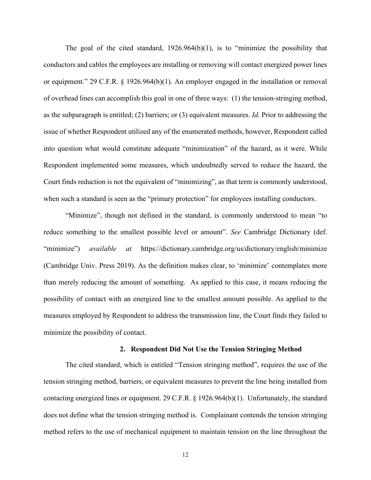The goal of the cited standard, 1926.964(b)(1), is to "minimize the possibility that conductors and cables the employees are installing or removing will contact energized power lines or equipment." 29 C.F.R. § 1926.964(b)(1). An employer engaged in the installation or removal of overhead lines can accomplish this goal in one of three ways: (1) the tension-stringing method, as the subparagraph is entitled; (2) barriers; or (3) equivalent measures. *Id.* Prior to addressing the issue of whether Respondent utilized any of the enumerated methods, however, Respondent called into question what would constitute adequate "minimization" of the hazard, as it were. While Respondent implemented some measures, which undoubtedly served to reduce the hazard, the Court finds reduction is not the equivalent of "minimizing", as that term is commonly understood, when such a standard is seen as the "primary protection" for employees installing conductors.

"Minimize", though not defined in the standard, is commonly understood to mean "to reduce something to the smallest possible level or amount". *See* Cambridge Dictionary (def. "minimize") *available at* https://dictionary.cambridge.org/us/dictionary/english/minimize (Cambridge Univ. Press 2019). As the definition makes clear, to 'minimize' contemplates more than merely reducing the amount of something. As applied to this case, it means reducing the possibility of contact with an energized line to the smallest amount possible. As applied to the measures employed by Respondent to address the transmission line, the Court finds they failed to minimize the possibility of contact.

### **2. Respondent Did Not Use the Tension Stringing Method**

The cited standard, which is entitled "Tension stringing method", requires the use of the tension stringing method, barriers, or equivalent measures to prevent the line being installed from contacting energized lines or equipment. 29 C.F.R. § 1926.964(b)(1). Unfortunately, the standard does not define what the tension stringing method is. Complainant contends the tension stringing method refers to the use of mechanical equipment to maintain tension on the line throughout the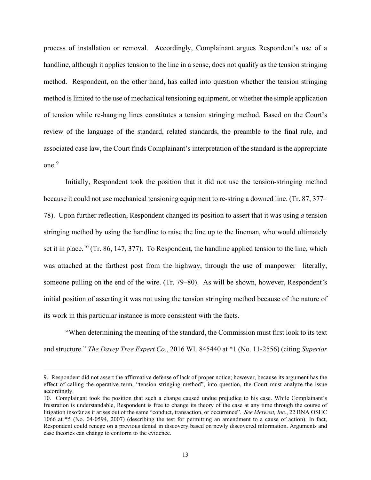process of installation or removal. Accordingly, Complainant argues Respondent's use of a handline, although it applies tension to the line in a sense, does not qualify as the tension stringing method. Respondent, on the other hand, has called into question whether the tension stringing method is limited to the use of mechanical tensioning equipment, or whether the simple application of tension while re-hanging lines constitutes a tension stringing method. Based on the Court's review of the language of the standard, related standards, the preamble to the final rule, and associated case law, the Court finds Complainant's interpretation of the standard is the appropriate one.<sup>[9](#page-12-0)</sup>

Initially, Respondent took the position that it did not use the tension-stringing method because it could not use mechanical tensioning equipment to re-string a downed line. (Tr. 87, 377– 78). Upon further reflection, Respondent changed its position to assert that it was using *a* tension stringing method by using the handline to raise the line up to the lineman, who would ultimately set it in place.<sup>[10](#page-12-1)</sup> (Tr. 86, 147, 377). To Respondent, the handline applied tension to the line, which was attached at the farthest post from the highway, through the use of manpower—literally, someone pulling on the end of the wire. (Tr. 79–80). As will be shown, however, Respondent's initial position of asserting it was not using the tension stringing method because of the nature of its work in this particular instance is more consistent with the facts.

"When determining the meaning of the standard, the Commission must first look to its text and structure." *The Davey Tree Expert Co.*, 2016 WL 845440 at \*1 (No. 11-2556) (citing *Superior* 

<span id="page-12-0"></span><sup>9.</sup> Respondent did not assert the affirmative defense of lack of proper notice; however, because its argument has the effect of calling the operative term, "tension stringing method", into question, the Court must analyze the issue accordingly.

<span id="page-12-1"></span><sup>10.</sup> Complainant took the position that such a change caused undue prejudice to his case. While Complainant's frustration is understandable, Respondent is free to change its theory of the case at any time through the course of litigation insofar as it arises out of the same "conduct, transaction, or occurrence". *See Metwest, Inc.*, 22 BNA OSHC 1066 at \*5 (No. 04-0594, 2007) (describing the test for permitting an amendment to a cause of action). In fact, Respondent could renege on a previous denial in discovery based on newly discovered information. Arguments and case theories can change to conform to the evidence.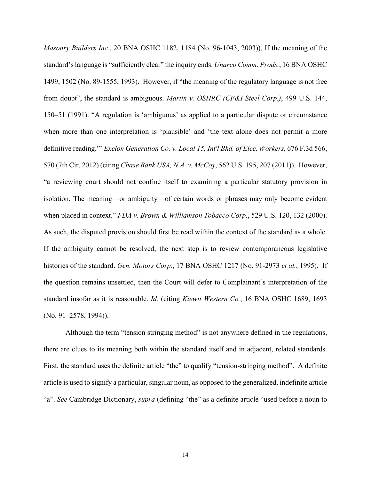*Masonry Builders Inc.*, 20 BNA OSHC 1182, 1184 (No. 96-1043, 2003)). If the meaning of the standard's language is "sufficiently clear" the inquiry ends. *Unarco Comm. Prods.*, 16 BNA OSHC 1499, 1502 (No. 89-1555, 1993). However, if "the meaning of the regulatory language is not free from doubt", the standard is ambiguous. *Martin v. OSHRC (CF&I Steel Corp.)*, 499 U.S. 144, 150–51 (1991). "A regulation is 'ambiguous' as applied to a particular dispute or circumstance when more than one interpretation is 'plausible' and 'the text alone does not permit a more definitive reading."' *Exelon Generation Co. v. Local 15, Int'l Bhd. of Elec. Workers*, 676 F.3d 566, 570 (7th Cir. 2012) (citing *Chase Bank USA, N.A. v. McCoy*, 562 U.S. 195, 207 (2011)). However, "a reviewing court should not confine itself to examining a particular statutory provision in isolation. The meaning—or ambiguity—of certain words or phrases may only become evident when placed in context." *FDA v. Brown & Williamson Tobacco Corp.*, 529 U.S. 120, 132 (2000). As such, the disputed provision should first be read within the context of the standard as a whole. If the ambiguity cannot be resolved, the next step is to review contemporaneous legislative histories of the standard. *Gen. Motors Corp.*, 17 BNA OSHC 1217 (No. 91-2973 *et al.*, 1995). If the question remains unsettled, then the Court will defer to Complainant's interpretation of the standard insofar as it is reasonable. *Id.* (citing *Kiewit Western Co.*, 16 BNA OSHC 1689, 1693 (No. 91–2578, 1994)).

Although the term "tension stringing method" is not anywhere defined in the regulations, there are clues to its meaning both within the standard itself and in adjacent, related standards. First, the standard uses the definite article "the" to qualify "tension-stringing method". A definite article is used to signify a particular, singular noun, as opposed to the generalized, indefinite article "a". *See* Cambridge Dictionary, *supra* (defining "the" as a definite article "used before a noun to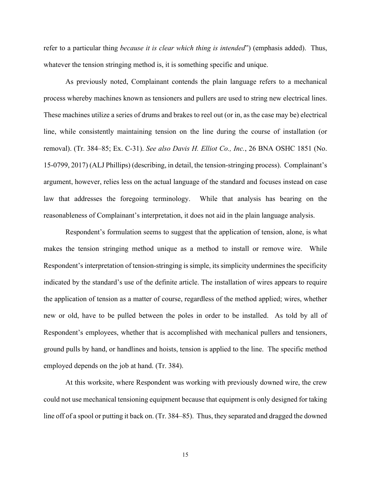refer to a particular thing *because it is clear which thing is intended*") (emphasis added). Thus, whatever the tension stringing method is, it is something specific and unique.

As previously noted, Complainant contends the plain language refers to a mechanical process whereby machines known as tensioners and pullers are used to string new electrical lines. These machines utilize a series of drums and brakes to reel out (or in, as the case may be) electrical line, while consistently maintaining tension on the line during the course of installation (or removal). (Tr. 384–85; Ex. C-31). *See also Davis H. Elliot Co., Inc.*, 26 BNA OSHC 1851 (No. 15-0799, 2017) (ALJ Phillips) (describing, in detail, the tension-stringing process). Complainant's argument, however, relies less on the actual language of the standard and focuses instead on case law that addresses the foregoing terminology. While that analysis has bearing on the reasonableness of Complainant's interpretation, it does not aid in the plain language analysis.

Respondent's formulation seems to suggest that the application of tension, alone, is what makes the tension stringing method unique as a method to install or remove wire. While Respondent's interpretation of tension-stringing is simple, its simplicity undermines the specificity indicated by the standard's use of the definite article. The installation of wires appears to require the application of tension as a matter of course, regardless of the method applied; wires, whether new or old, have to be pulled between the poles in order to be installed. As told by all of Respondent's employees, whether that is accomplished with mechanical pullers and tensioners, ground pulls by hand, or handlines and hoists, tension is applied to the line. The specific method employed depends on the job at hand. (Tr. 384).

At this worksite, where Respondent was working with previously downed wire, the crew could not use mechanical tensioning equipment because that equipment is only designed for taking line off of a spool or putting it back on. (Tr. 384–85). Thus, they separated and dragged the downed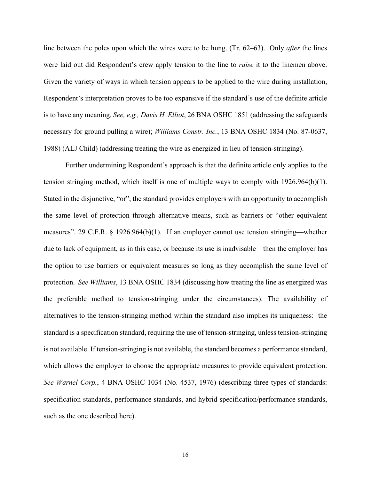line between the poles upon which the wires were to be hung. (Tr. 62–63). Only *after* the lines were laid out did Respondent's crew apply tension to the line to *raise* it to the linemen above. Given the variety of ways in which tension appears to be applied to the wire during installation, Respondent's interpretation proves to be too expansive if the standard's use of the definite article is to have any meaning. *See, e.g., Davis H. Elliot*, 26 BNA OSHC 1851 (addressing the safeguards necessary for ground pulling a wire); *Williams Constr. Inc.*, 13 BNA OSHC 1834 (No. 87-0637, 1988) (ALJ Child) (addressing treating the wire as energized in lieu of tension-stringing).

Further undermining Respondent's approach is that the definite article only applies to the tension stringing method, which itself is one of multiple ways to comply with 1926.964(b)(1). Stated in the disjunctive, "or", the standard provides employers with an opportunity to accomplish the same level of protection through alternative means, such as barriers or "other equivalent measures". 29 C.F.R. § 1926.964(b)(1). If an employer cannot use tension stringing—whether due to lack of equipment, as in this case, or because its use is inadvisable—then the employer has the option to use barriers or equivalent measures so long as they accomplish the same level of protection. *See Williams*, 13 BNA OSHC 1834 (discussing how treating the line as energized was the preferable method to tension-stringing under the circumstances). The availability of alternatives to the tension-stringing method within the standard also implies its uniqueness: the standard is a specification standard, requiring the use of tension-stringing, unless tension-stringing is not available. If tension-stringing is not available, the standard becomes a performance standard, which allows the employer to choose the appropriate measures to provide equivalent protection. *See Warnel Corp.*, 4 BNA OSHC 1034 (No. 4537, 1976) (describing three types of standards: specification standards, performance standards, and hybrid specification/performance standards, such as the one described here).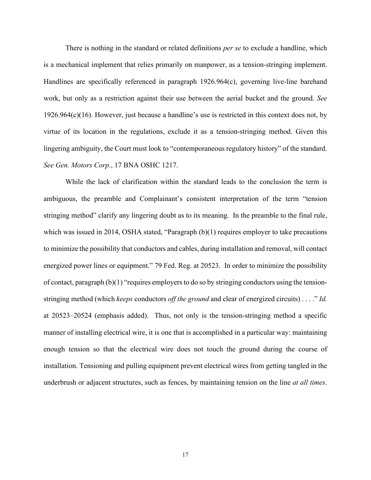There is nothing in the standard or related definitions *per se* to exclude a handline, which is a mechanical implement that relies primarily on manpower, as a tension-stringing implement. Handlines are specifically referenced in paragraph 1926.964(c), governing live-line barehand work, but only as a restriction against their use between the aerial bucket and the ground. *See*  1926.964(c)(16). However, just because a handline's use is restricted in this context does not, by virtue of its location in the regulations, exclude it as a tension-stringing method. Given this lingering ambiguity, the Court must look to "contemporaneous regulatory history" of the standard. *See Gen. Motors Corp.*, 17 BNA OSHC 1217.

While the lack of clarification within the standard leads to the conclusion the term is ambiguous, the preamble and Complainant's consistent interpretation of the term "tension stringing method" clarify any lingering doubt as to its meaning. In the preamble to the final rule, which was issued in 2014, OSHA stated, "Paragraph  $(b)(1)$  requires employer to take precautions to minimize the possibility that conductors and cables, during installation and removal, will contact energized power lines or equipment." 79 Fed. Reg. at 20523. In order to minimize the possibility of contact, paragraph  $(b)(1)$  "requires employers to do so by stringing conductors using the tensionstringing method (which *keeps* conductors *off the ground* and clear of energized circuits) . . . ." *Id.* at 20523–20524 (emphasis added). Thus, not only is the tension-stringing method a specific manner of installing electrical wire, it is one that is accomplished in a particular way: maintaining enough tension so that the electrical wire does not touch the ground during the course of installation. Tensioning and pulling equipment prevent electrical wires from getting tangled in the underbrush or adjacent structures, such as fences, by maintaining tension on the line *at all times*.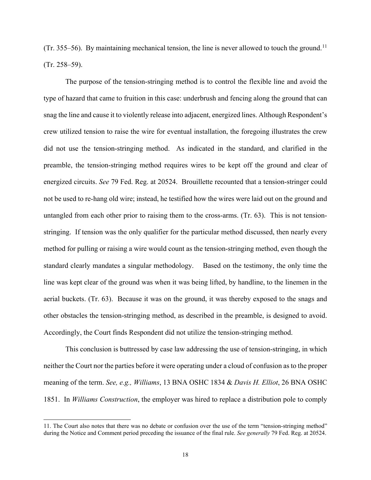$(Tr. 355–56)$ . By maintaining mechanical tension, the line is never allowed to touch the ground.<sup>[11](#page-17-0)</sup> (Tr. 258–59).

The purpose of the tension-stringing method is to control the flexible line and avoid the type of hazard that came to fruition in this case: underbrush and fencing along the ground that can snag the line and cause it to violently release into adjacent, energized lines. Although Respondent's crew utilized tension to raise the wire for eventual installation, the foregoing illustrates the crew did not use the tension-stringing method. As indicated in the standard, and clarified in the preamble, the tension-stringing method requires wires to be kept off the ground and clear of energized circuits. *See* 79 Fed. Reg. at 20524. Brouillette recounted that a tension-stringer could not be used to re-hang old wire; instead, he testified how the wires were laid out on the ground and untangled from each other prior to raising them to the cross-arms. (Tr. 63). This is not tensionstringing. If tension was the only qualifier for the particular method discussed, then nearly every method for pulling or raising a wire would count as the tension-stringing method, even though the standard clearly mandates a singular methodology. Based on the testimony, the only time the line was kept clear of the ground was when it was being lifted, by handline, to the linemen in the aerial buckets. (Tr. 63). Because it was on the ground, it was thereby exposed to the snags and other obstacles the tension-stringing method, as described in the preamble, is designed to avoid. Accordingly, the Court finds Respondent did not utilize the tension-stringing method.

This conclusion is buttressed by case law addressing the use of tension-stringing, in which neither the Court nor the parties before it were operating under a cloud of confusion as to the proper meaning of the term. *See, e.g., Williams*, 13 BNA OSHC 1834 & *Davis H. Elliot*, 26 BNA OSHC 1851. In *Williams Construction*, the employer was hired to replace a distribution pole to comply

<span id="page-17-0"></span><sup>11.</sup> The Court also notes that there was no debate or confusion over the use of the term "tension-stringing method" during the Notice and Comment period preceding the issuance of the final rule. *See generally* 79 Fed. Reg. at 20524.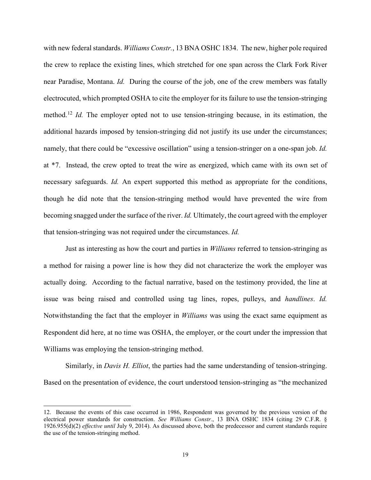with new federal standards. *Williams Constr.*, 13 BNA OSHC 1834. The new, higher pole required the crew to replace the existing lines, which stretched for one span across the Clark Fork River near Paradise, Montana. *Id.* During the course of the job, one of the crew members was fatally electrocuted, which prompted OSHA to cite the employer for its failure to use the tension-stringing method.<sup>[12](#page-18-0)</sup> *Id.* The employer opted not to use tension-stringing because, in its estimation, the additional hazards imposed by tension-stringing did not justify its use under the circumstances; namely, that there could be "excessive oscillation" using a tension-stringer on a one-span job. *Id.* at \*7. Instead, the crew opted to treat the wire as energized, which came with its own set of necessary safeguards. *Id.* An expert supported this method as appropriate for the conditions, though he did note that the tension-stringing method would have prevented the wire from becoming snagged under the surface of the river. *Id.* Ultimately, the court agreed with the employer that tension-stringing was not required under the circumstances. *Id.*

Just as interesting as how the court and parties in *Williams* referred to tension-stringing as a method for raising a power line is how they did not characterize the work the employer was actually doing. According to the factual narrative, based on the testimony provided, the line at issue was being raised and controlled using tag lines, ropes, pulleys, and *handlines*. *Id.* Notwithstanding the fact that the employer in *Williams* was using the exact same equipment as Respondent did here, at no time was OSHA, the employer, or the court under the impression that Williams was employing the tension-stringing method.

Similarly, in *Davis H. Elliot*, the parties had the same understanding of tension-stringing. Based on the presentation of evidence, the court understood tension-stringing as "the mechanized

<span id="page-18-0"></span><sup>12.</sup> Because the events of this case occurred in 1986, Respondent was governed by the previous version of the electrical power standards for construction. *See Williams Constr.*, 13 BNA OSHC 1834 (citing 29 C.F.R. § 1926.955(d)(2) *effective until* July 9, 2014). As discussed above, both the predecessor and current standards require the use of the tension-stringing method.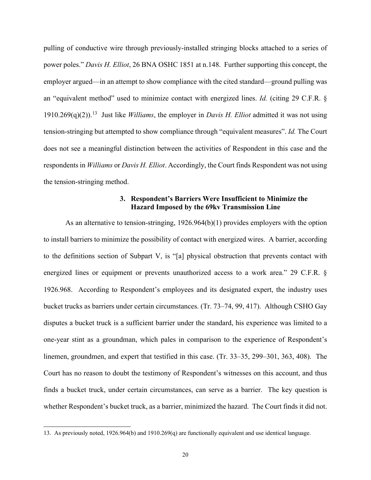pulling of conductive wire through previously-installed stringing blocks attached to a series of power poles." *Davis H. Elliot*, 26 BNA OSHC 1851 at n.148. Further supporting this concept, the employer argued—in an attempt to show compliance with the cited standard—ground pulling was an "equivalent method" used to minimize contact with energized lines. *Id.* (citing 29 C.F.R. § 1910.269(q)(2)).[13](#page-19-0) Just like *Williams*, the employer in *Davis H. Elliot* admitted it was not using tension-stringing but attempted to show compliance through "equivalent measures". *Id.* The Court does not see a meaningful distinction between the activities of Respondent in this case and the respondents in *Williams* or *Davis H. Elliot*. Accordingly, the Court finds Respondent was not using the tension-stringing method.

# **3. Respondent's Barriers Were Insufficient to Minimize the Hazard Imposed by the 69kv Transmission Line**

As an alternative to tension-stringing, 1926.964(b)(1) provides employers with the option to install barriers to minimize the possibility of contact with energized wires. A barrier, according to the definitions section of Subpart V, is "[a] physical obstruction that prevents contact with energized lines or equipment or prevents unauthorized access to a work area." 29 C.F.R. § 1926.968. According to Respondent's employees and its designated expert, the industry uses bucket trucks as barriers under certain circumstances. (Tr. 73–74, 99, 417). Although CSHO Gay disputes a bucket truck is a sufficient barrier under the standard, his experience was limited to a one-year stint as a groundman, which pales in comparison to the experience of Respondent's linemen, groundmen, and expert that testified in this case. (Tr. 33–35, 299–301, 363, 408). The Court has no reason to doubt the testimony of Respondent's witnesses on this account, and thus finds a bucket truck, under certain circumstances, can serve as a barrier. The key question is whether Respondent's bucket truck, as a barrier, minimized the hazard. The Court finds it did not.

<span id="page-19-0"></span><sup>13.</sup> As previously noted, 1926.964(b) and 1910.269(q) are functionally equivalent and use identical language.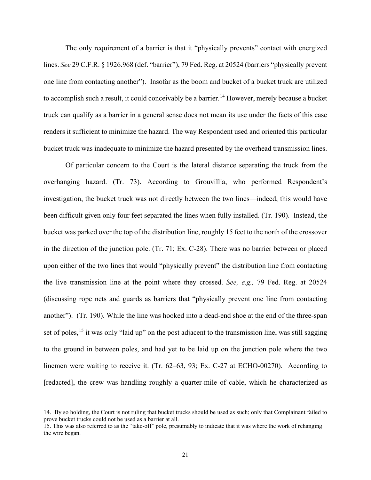The only requirement of a barrier is that it "physically prevents" contact with energized lines. *See* 29 C.F.R. § 1926.968 (def. "barrier"), 79 Fed. Reg. at 20524 (barriers "physically prevent one line from contacting another"). Insofar as the boom and bucket of a bucket truck are utilized to accomplish such a result, it could conceivably be a barrier.<sup>[14](#page-20-0)</sup> However, merely because a bucket truck can qualify as a barrier in a general sense does not mean its use under the facts of this case renders it sufficient to minimize the hazard. The way Respondent used and oriented this particular bucket truck was inadequate to minimize the hazard presented by the overhead transmission lines.

Of particular concern to the Court is the lateral distance separating the truck from the overhanging hazard. (Tr. 73). According to Grouvillia, who performed Respondent's investigation, the bucket truck was not directly between the two lines—indeed, this would have been difficult given only four feet separated the lines when fully installed. (Tr. 190). Instead, the bucket was parked over the top of the distribution line, roughly 15 feet to the north of the crossover in the direction of the junction pole. (Tr. 71; Ex. C-28). There was no barrier between or placed upon either of the two lines that would "physically prevent" the distribution line from contacting the live transmission line at the point where they crossed. *See, e.g.,* 79 Fed. Reg. at 20524 (discussing rope nets and guards as barriers that "physically prevent one line from contacting another"). (Tr. 190). While the line was hooked into a dead-end shoe at the end of the three-span set of poles,<sup>[15](#page-20-1)</sup> it was only "laid up" on the post adjacent to the transmission line, was still sagging to the ground in between poles, and had yet to be laid up on the junction pole where the two linemen were waiting to receive it. (Tr. 62–63, 93; Ex. C-27 at ECHO-00270). According to [redacted], the crew was handling roughly a quarter-mile of cable, which he characterized as

<span id="page-20-0"></span><sup>14.</sup> By so holding, the Court is not ruling that bucket trucks should be used as such; only that Complainant failed to prove bucket trucks could not be used as a barrier at all.

<span id="page-20-1"></span><sup>15.</sup> This was also referred to as the "take-off" pole, presumably to indicate that it was where the work of rehanging the wire began.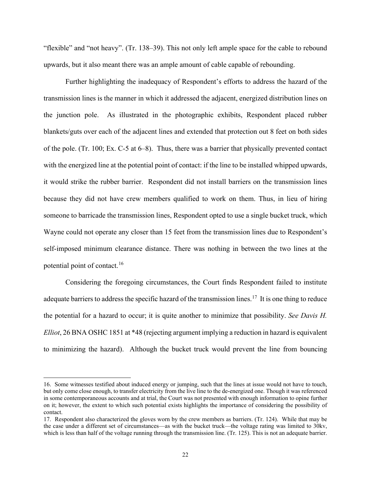"flexible" and "not heavy". (Tr. 138–39). This not only left ample space for the cable to rebound upwards, but it also meant there was an ample amount of cable capable of rebounding.

Further highlighting the inadequacy of Respondent's efforts to address the hazard of the transmission lines is the manner in which it addressed the adjacent, energized distribution lines on the junction pole. As illustrated in the photographic exhibits, Respondent placed rubber blankets/guts over each of the adjacent lines and extended that protection out 8 feet on both sides of the pole. (Tr. 100; Ex. C-5 at 6–8). Thus, there was a barrier that physically prevented contact with the energized line at the potential point of contact: if the line to be installed whipped upwards, it would strike the rubber barrier. Respondent did not install barriers on the transmission lines because they did not have crew members qualified to work on them. Thus, in lieu of hiring someone to barricade the transmission lines, Respondent opted to use a single bucket truck, which Wayne could not operate any closer than 15 feet from the transmission lines due to Respondent's self-imposed minimum clearance distance. There was nothing in between the two lines at the potential point of contact.[16](#page-21-0) 

Considering the foregoing circumstances, the Court finds Respondent failed to institute adequate barriers to address the specific hazard of the transmission lines.<sup>[17](#page-21-1)</sup> It is one thing to reduce the potential for a hazard to occur; it is quite another to minimize that possibility. *See Davis H. Elliot*, 26 BNA OSHC 1851 at \*48 (rejecting argument implying a reduction in hazard is equivalent to minimizing the hazard). Although the bucket truck would prevent the line from bouncing

<span id="page-21-0"></span><sup>16.</sup> Some witnesses testified about induced energy or jumping, such that the lines at issue would not have to touch, but only come close enough, to transfer electricity from the live line to the de-energized one. Though it was referenced in some contemporaneous accounts and at trial, the Court was not presented with enough information to opine further on it; however, the extent to which such potential exists highlights the importance of considering the possibility of contact.

<span id="page-21-1"></span><sup>17.</sup> Respondent also characterized the gloves worn by the crew members as barriers. (Tr. 124). While that may be the case under a different set of circumstances—as with the bucket truck—the voltage rating was limited to 30kv, which is less than half of the voltage running through the transmission line. (Tr. 125). This is not an adequate barrier.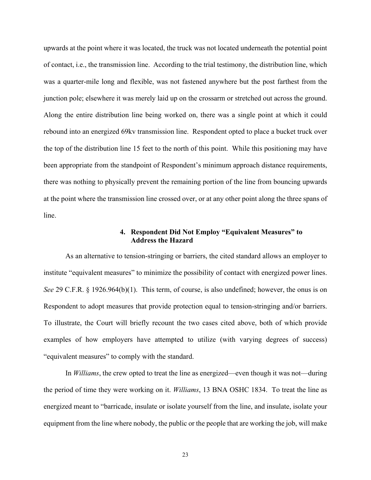upwards at the point where it was located, the truck was not located underneath the potential point of contact, i.e., the transmission line. According to the trial testimony, the distribution line, which was a quarter-mile long and flexible, was not fastened anywhere but the post farthest from the junction pole; elsewhere it was merely laid up on the crossarm or stretched out across the ground. Along the entire distribution line being worked on, there was a single point at which it could rebound into an energized 69kv transmission line. Respondent opted to place a bucket truck over the top of the distribution line 15 feet to the north of this point. While this positioning may have been appropriate from the standpoint of Respondent's minimum approach distance requirements, there was nothing to physically prevent the remaining portion of the line from bouncing upwards at the point where the transmission line crossed over, or at any other point along the three spans of line.

# **4. Respondent Did Not Employ "Equivalent Measures" to Address the Hazard**

As an alternative to tension-stringing or barriers, the cited standard allows an employer to institute "equivalent measures" to minimize the possibility of contact with energized power lines. *See* 29 C.F.R. § 1926.964(b)(1). This term, of course, is also undefined; however, the onus is on Respondent to adopt measures that provide protection equal to tension-stringing and/or barriers. To illustrate, the Court will briefly recount the two cases cited above, both of which provide examples of how employers have attempted to utilize (with varying degrees of success) "equivalent measures" to comply with the standard.

In *Williams*, the crew opted to treat the line as energized—even though it was not—during the period of time they were working on it. *Williams*, 13 BNA OSHC 1834. To treat the line as energized meant to "barricade, insulate or isolate yourself from the line, and insulate, isolate your equipment from the line where nobody, the public or the people that are working the job, will make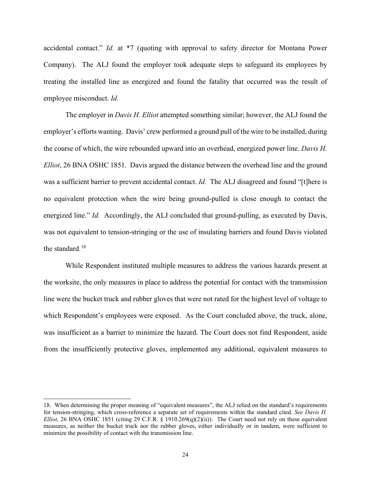accidental contact." *Id.* at \*7 (quoting with approval to safety director for Montana Power Company). The ALJ found the employer took adequate steps to safeguard its employees by treating the installed line as energized and found the fatality that occurred was the result of employee misconduct. *Id.*

The employer in *Davis H. Elliot* attempted something similar; however, the ALJ found the employer's efforts wanting. Davis' crew performed a ground pull of the wire to be installed, during the course of which, the wire rebounded upward into an overhead, energized power line. *Davis H. Elliot*, 26 BNA OSHC 1851. Davis argued the distance between the overhead line and the ground was a sufficient barrier to prevent accidental contact. *Id.* The ALJ disagreed and found "[t]here is no equivalent protection when the wire being ground-pulled is close enough to contact the energized line." *Id.* Accordingly, the ALJ concluded that ground-pulling, as executed by Davis, was not equivalent to tension-stringing or the use of insulating barriers and found Davis violated the standard.<sup>[18](#page-23-0)</sup>

While Respondent instituted multiple measures to address the various hazards present at the worksite, the only measures in place to address the potential for contact with the transmission line were the bucket truck and rubber gloves that were not rated for the highest level of voltage to which Respondent's employees were exposed. As the Court concluded above, the truck, alone, was insufficient as a barrier to minimize the hazard. The Court does not find Respondent, aside from the insufficiently protective gloves, implemented any additional, equivalent measures to

<span id="page-23-0"></span><sup>18.</sup> When determining the proper meaning of "equivalent measures", the ALJ relied on the standard's requirements for tension-stringing, which cross-reference a separate set of requirements within the standard cited. *See Davis H. Elliot*, 26 BNA OSHC 1851 (citing 29 C.F.R. § 1910.269 $(q)(2)(ii)$ ). The Court need not rely on these equivalent measures, as neither the bucket truck nor the rubber gloves, either individually or in tandem, were sufficient to minimize the possibility of contact with the transmission line.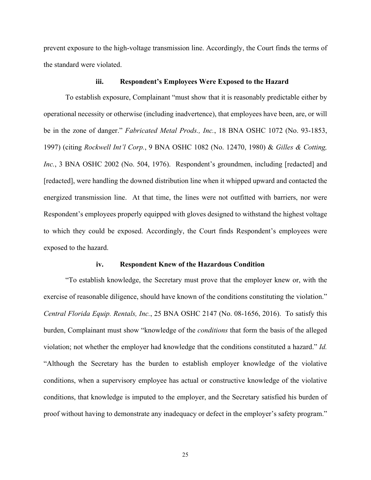prevent exposure to the high-voltage transmission line. Accordingly, the Court finds the terms of the standard were violated.

#### **iii. Respondent's Employees Were Exposed to the Hazard**

To establish exposure, Complainant "must show that it is reasonably predictable either by operational necessity or otherwise (including inadvertence), that employees have been, are, or will be in the zone of danger." *Fabricated Metal Prods., Inc.*, 18 BNA OSHC 1072 (No. 93-1853, 1997) (citing *Rockwell Int'l Corp.*, 9 BNA OSHC 1082 (No. 12470, 1980) & *Gilles & Cotting, Inc.*, 3 BNA OSHC 2002 (No. 504, 1976). Respondent's groundmen, including [redacted] and [redacted], were handling the downed distribution line when it whipped upward and contacted the energized transmission line. At that time, the lines were not outfitted with barriers, nor were Respondent's employees properly equipped with gloves designed to withstand the highest voltage to which they could be exposed. Accordingly, the Court finds Respondent's employees were exposed to the hazard.

### **iv. Respondent Knew of the Hazardous Condition**

"To establish knowledge, the Secretary must prove that the employer knew or, with the exercise of reasonable diligence, should have known of the conditions constituting the violation." *Central Florida Equip. Rentals, Inc.*, 25 BNA OSHC 2147 (No. 08-1656, 2016). To satisfy this burden, Complainant must show "knowledge of the *conditions* that form the basis of the alleged violation; not whether the employer had knowledge that the conditions constituted a hazard." *Id.* "Although the Secretary has the burden to establish employer knowledge of the violative conditions, when a supervisory employee has actual or constructive knowledge of the violative conditions, that knowledge is imputed to the employer, and the Secretary satisfied his burden of proof without having to demonstrate any inadequacy or defect in the employer's safety program."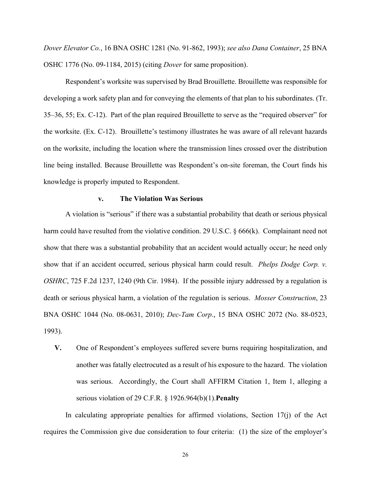*Dover Elevator Co.*, 16 BNA OSHC 1281 (No. 91-862, 1993); *see also Dana Container*, 25 BNA OSHC 1776 (No. 09-1184, 2015) (citing *Dover* for same proposition).

Respondent's worksite was supervised by Brad Brouillette. Brouillette was responsible for developing a work safety plan and for conveying the elements of that plan to his subordinates. (Tr. 35–36, 55; Ex. C-12). Part of the plan required Brouillette to serve as the "required observer" for the worksite. (Ex. C-12). Brouillette's testimony illustrates he was aware of all relevant hazards on the worksite, including the location where the transmission lines crossed over the distribution line being installed. Because Brouillette was Respondent's on-site foreman, the Court finds his knowledge is properly imputed to Respondent.

## **v. The Violation Was Serious**

A violation is "serious" if there was a substantial probability that death or serious physical harm could have resulted from the violative condition. 29 U.S.C. § 666(k). Complainant need not show that there was a substantial probability that an accident would actually occur; he need only show that if an accident occurred, serious physical harm could result. *Phelps Dodge Corp. v. OSHRC*, 725 F.2d 1237, 1240 (9th Cir. 1984). If the possible injury addressed by a regulation is death or serious physical harm, a violation of the regulation is serious. *Mosser Construction*, 23 BNA OSHC 1044 (No. 08-0631, 2010); *Dec-Tam Corp*., 15 BNA OSHC 2072 (No. 88-0523, 1993).

**V.** One of Respondent's employees suffered severe burns requiring hospitalization, and another was fatally electrocuted as a result of his exposure to the hazard. The violation was serious. Accordingly, the Court shall AFFIRM Citation 1, Item 1, alleging a serious violation of 29 C.F.R. § 1926.964(b)(1).**Penalty**

In calculating appropriate penalties for affirmed violations, Section  $17(i)$  of the Act requires the Commission give due consideration to four criteria: (1) the size of the employer's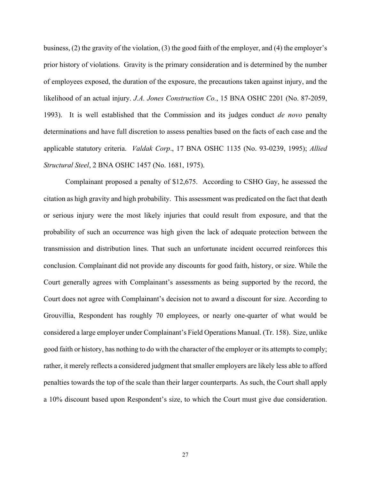business, (2) the gravity of the violation, (3) the good faith of the employer, and (4) the employer's prior history of violations. Gravity is the primary consideration and is determined by the number of employees exposed, the duration of the exposure, the precautions taken against injury, and the likelihood of an actual injury. *J.A. Jones Construction Co.*, 15 BNA OSHC 2201 (No. 87-2059, 1993). It is well established that the Commission and its judges conduct *de novo* penalty determinations and have full discretion to assess penalties based on the facts of each case and the applicable statutory criteria. *Valdak Corp*., 17 BNA OSHC 1135 (No. 93-0239, 1995); *Allied Structural Steel*, 2 BNA OSHC 1457 (No. 1681, 1975).

Complainant proposed a penalty of \$12,675. According to CSHO Gay, he assessed the citation as high gravity and high probability. This assessment was predicated on the fact that death or serious injury were the most likely injuries that could result from exposure, and that the probability of such an occurrence was high given the lack of adequate protection between the transmission and distribution lines. That such an unfortunate incident occurred reinforces this conclusion. Complainant did not provide any discounts for good faith, history, or size. While the Court generally agrees with Complainant's assessments as being supported by the record, the Court does not agree with Complainant's decision not to award a discount for size. According to Grouvillia, Respondent has roughly 70 employees, or nearly one-quarter of what would be considered a large employer under Complainant's Field Operations Manual. (Tr. 158). Size, unlike good faith or history, has nothing to do with the character of the employer or its attempts to comply; rather, it merely reflects a considered judgment that smaller employers are likely less able to afford penalties towards the top of the scale than their larger counterparts. As such, the Court shall apply a 10% discount based upon Respondent's size, to which the Court must give due consideration.